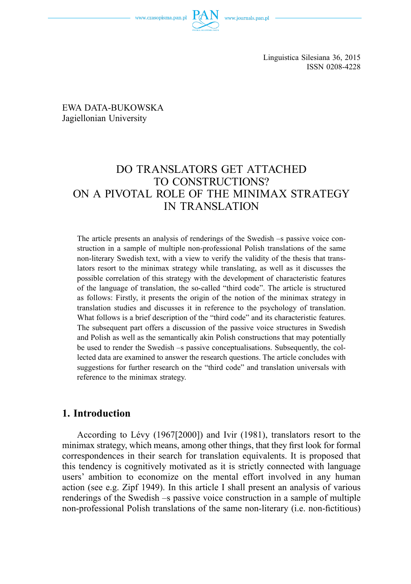

EWA DATA-BUKOWSKA Jagiellonian University

# DO TRANSLATORS GET ATTACHED TO CONSTRUCTIONS? ON A PIVOTAL ROLE OF THE MINIMAX STRATEGY IN TRANSLATION

The article presents an analysis of renderings of the Swedish –s passive voice construction in a sample of multiple non-professional Polish translations of the same non-literary Swedish text, with a view to verify the validity of the thesis that translators resort to the minimax strategy while translating, as well as it discusses the possible correlation of this strategy with the development of characteristic features of the language of translation, the so-called "third code". The article is structured as follows: Firstly, it presents the origin of the notion of the minimax strategy in translation studies and discusses it in reference to the psychology of translation. What follows is a brief description of the "third code" and its characteristic features. The subsequent part offers a discussion of the passive voice structures in Swedish and Polish as well as the semantically akin Polish constructions that may potentially be used to render the Swedish –s passive conceptualisations. Subsequently, the collected data are examined to answer the research questions. The article concludes with suggestions for further research on the "third code" and translation universals with reference to the minimax strategy.

# **1. Introduction**

According to Lévy (1967[2000]) and Ivir (1981), translators resort to the minimax strategy, which means, among other things, that they first look for formal correspondences in their search for translation equivalents. It is proposed that this tendency is cognitively motivated as it is strictly connected with language users' ambition to economize on the mental effort involved in any human action (see e.g. Zipf 1949). In this article I shall present an analysis of various renderings of the Swedish –s passive voice construction in a sample of multiple non-professional Polish translations of the same non-literary (i.e. non-fictitious)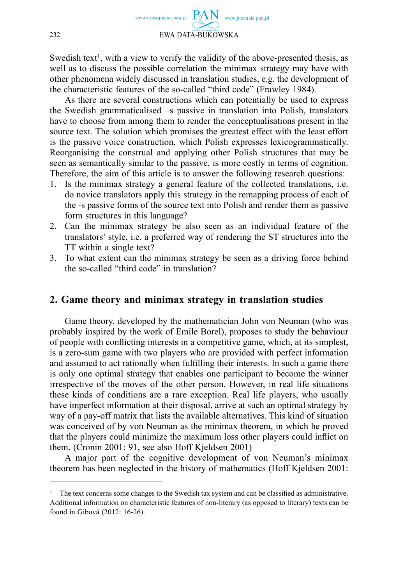Swedish text<sup>1</sup>, with a view to verify the validity of the above-presented thesis, as well as to discuss the possible correlation the minimax strategy may have with other phenomena widely discussed in translation studies, e.g. the development of the characteristic features of the so-called "third code" (Frawley 1984).

As there are several constructions which can potentially be used to express the Swedish grammaticalised –s passive in translation into Polish, translators have to choose from among them to render the conceptualisations present in the source text. The solution which promises the greatest effect with the least effort is the passive voice construction, which Polish expresses lexicogrammatically. Reorganising the construal and applying other Polish structures that may be seen as semantically similar to the passive, is more costly in terms of cognition. Therefore, the aim of this article is to answer the following research questions:

- 1. Is the minimax strategy a general feature of the collected translations, i.e. do novice translators apply this strategy in the remapping process of each of the -s passive forms of the source text into Polish and render them as passive form structures in this language?
- 2. Can the minimax strategy be also seen as an individual feature of the translators' style, i.e. a preferred way of rendering the ST structures into the TT within a single text?
- 3. To what extent can the minimax strategy be seen as a driving force behind the so-called "third code" in translation?

#### **2. Game theory and minimax strategy in translation studies**

Game theory, developed by the mathematician John von Neuman (who was probably inspired by the work of Emile Borel), proposes to study the behaviour of people with conflicting interests in a competitive game, which, at its simplest, is a zero-sum game with two players who are provided with perfect information and assumed to act rationally when fulfilling their interests. In such a game there is only one optimal strategy that enables one participant to become the winner irrespective of the moves of the other person. However, in real life situations these kinds of conditions are a rare exception. Real life players, who usually have imperfect information at their disposal, arrive at such an optimal strategy by way of a pay-off matrix that lists the available alternatives. This kind of situation was conceived of by von Neuman as the minimax theorem, in which he proved that the players could minimize the maximum loss other players could inflict on them. (Cronin 2001: 91, see also Hoff Kjeldsen 2001)

A major part of the cognitive development of von Neuman's minimax theorem has been neglected in the history of mathematics (Hoff Kjeldsen 2001:

<sup>&</sup>lt;sup>1</sup> The text concerns some changes to the Swedish tax system and can be classified as administrative. Additional information on characteristic features of non-literary (as opposed to literary) texts can be found in Gibová (2012: 16-26).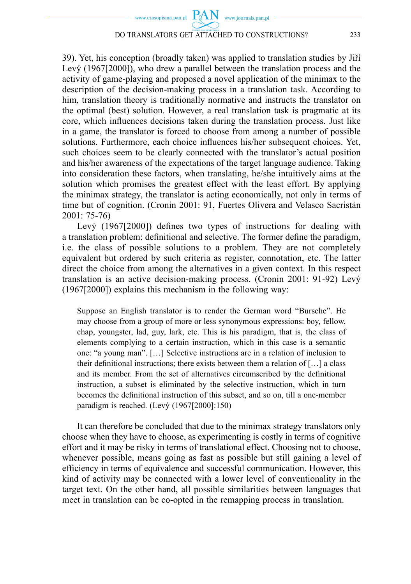www.czasopisma.pan.pl  $PAN$  www.journals.pan.pl

#### DO TRANSLATORS GET ATTACHED TO CONSTRUCTIONS? 233

39). Yet, his conception (broadly taken) was applied to translation studies by Jiří Levý (1967[2000]), who drew a parallel between the translation process and the activity of game-playing and proposed a novel application of the minimax to the description of the decision-making process in a translation task. According to him, translation theory is traditionally normative and instructs the translator on the optimal (best) solution. However, a real translation task is pragmatic at its core, which influences decisions taken during the translation process. Just like in a game, the translator is forced to choose from among a number of possible solutions. Furthermore, each choice influences his/her subsequent choices. Yet, such choices seem to be clearly connected with the translator's actual position and his/her awareness of the expectations of the target language audience. Taking into consideration these factors, when translating, he/she intuitively aims at the solution which promises the greatest effect with the least effort. By applying the minimax strategy, the translator is acting economically, not only in terms of time but of cognition. (Cronin 2001: 91, Fuertes Olivera and Velasco Sacristán 2001: 75-76)

Levý  $(1967[2000])$  defines two types of instructions for dealing with a translation problem: definitional and selective. The former define the paradigm, i.e. the class of possible solutions to a problem. They are not completely equivalent but ordered by such criteria as register, connotation, etc. The latter direct the choice from among the alternatives in a given context. In this respect translation is an active decision-making process. (Cronin 2001: 91-92) Levý (1967[2000]) explains this mechanism in the following way:

Suppose an English translator is to render the German word "Bursche". He may choose from a group of more or less synonymous expressions: boy, fellow, chap, youngster, lad, guy, lark, etc. This is his paradigm, that is, the class of elements complying to a certain instruction, which in this case is a semantic one: "a young man". […] Selective instructions are in a relation of inclusion to their definitional instructions; there exists between them a relation of  $[...]$  a class and its member. From the set of alternatives circumscribed by the definitional instruction, a subset is eliminated by the selective instruction, which in turn becomes the definitional instruction of this subset, and so on, till a one-member paradigm is reached. (Levý (1967[2000]:150)

It can therefore be concluded that due to the minimax strategy translators only choose when they have to choose, as experimenting is costly in terms of cognitive effort and it may be risky in terms of translational effect. Choosing not to choose, whenever possible, means going as fast as possible but still gaining a level of efficiency in terms of equivalence and successful communication. However, this kind of activity may be connected with a lower level of conventionality in the target text. On the other hand, all possible similarities between languages that meet in translation can be co-opted in the remapping process in translation.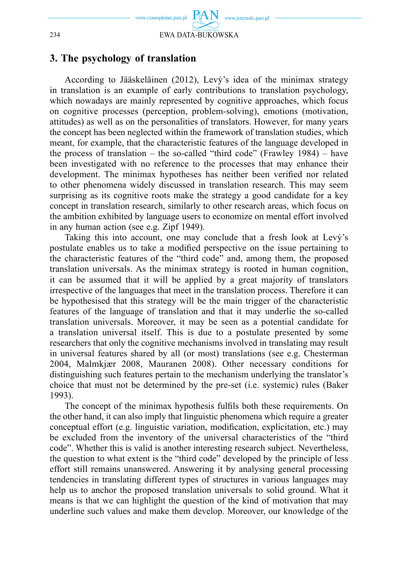

#### **3. The psychology of translation**

According to Jääskeläinen (2012), Levý's idea of the minimax strategy in translation is an example of early contributions to translation psychology, which nowadays are mainly represented by cognitive approaches, which focus on cognitive processes (perception, problem-solving), emotions (motivation, attitudes) as well as on the personalities of translators. However, for many years the concept has been neglected within the framework of translation studies, which meant, for example, that the characteristic features of the language developed in the process of translation – the so-called "third code" (Frawley  $1984$ ) – have been investigated with no reference to the processes that may enhance their development. The minimax hypotheses has neither been verified nor related to other phenomena widely discussed in translation research. This may seem surprising as its cognitive roots make the strategy a good candidate for a key concept in translation research, similarly to other research areas, which focus on the ambition exhibited by language users to economize on mental effort involved in any human action (see e.g. Zipf 1949).

Taking this into account, one may conclude that a fresh look at Levý's postulate enables us to take a modified perspective on the issue pertaining to the characteristic features of the "third code" and, among them, the proposed translation universals. As the minimax strategy is rooted in human cognition, it can be assumed that it will be applied by a great majority of translators irrespective of the languages that meet in the translation process. Therefore it can be hypothesised that this strategy will be the main trigger of the characteristic features of the language of translation and that it may underlie the so-called translation universals. Moreover, it may be seen as a potential candidate for a translation universal itself. This is due to a postulate presented by some researchers that only the cognitive mechanisms involved in translating may result in universal features shared by all (or most) translations (see e.g. Chesterman 2004, Malmkjær 2008, Mauranen 2008). Other necessary conditions for distinguishing such features pertain to the mechanism underlying the translator's choice that must not be determined by the pre-set (i.e. systemic) rules (Baker 1993).

The concept of the minimax hypothesis fulfils both these requirements. On the other hand, it can also imply that linguistic phenomena which require a greater conceptual effort (e.g. linguistic variation, modification, explicitation, etc.) may be excluded from the inventory of the universal characteristics of the "third code". Whether this is valid is another interesting research subject. Nevertheless, the question to what extent is the "third code" developed by the principle of less effort still remains unanswered. Answering it by analysing general processing tendencies in translating different types of structures in various languages may help us to anchor the proposed translation universals to solid ground. What it means is that we can highlight the question of the kind of motivation that may underline such values and make them develop. Moreover, our knowledge of the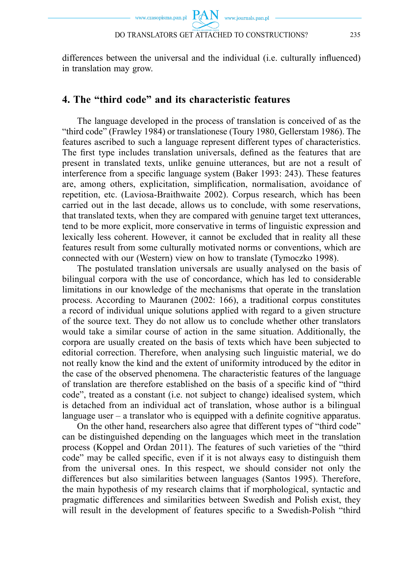www.czasopisma.pan.pl  $PAN$  www.journals.pan.pl DO TRANSLATORS GET ATTACHED TO CONSTRUCTIONS? 235

differences between the universal and the individual (i.e. culturally influenced) in translation may grow.

# **4. The "third code" and its characteristic features**

The language developed in the process of translation is conceived of as the "third code" (Frawley 1984) or translationese (Toury 1980, Gellerstam 1986). The features ascribed to such a language represent different types of characteristics. The first type includes translation universals, defined as the features that are present in translated texts, unlike genuine utterances, but are not a result of interference from a specific language system (Baker 1993: 243). These features are, among others, explicitation, simplification, normalisation, avoidance of repetition, etc. (Laviosa-Braithwaite 2002). Corpus research, which has been carried out in the last decade, allows us to conclude, with some reservations, that translated texts, when they are compared with genuine target text utterances, tend to be more explicit, more conservative in terms of linguistic expression and lexically less coherent. However, it cannot be excluded that in reality all these features result from some culturally motivated norms or conventions, which are connected with our (Western) view on how to translate (Tymoczko 1998).

The postulated translation universals are usually analysed on the basis of bilingual corpora with the use of concordance, which has led to considerable limitations in our knowledge of the mechanisms that operate in the translation process. According to Mauranen (2002: 166), a traditional corpus constitutes a record of individual unique solutions applied with regard to a given structure of the source text. They do not allow us to conclude whether other translators would take a similar course of action in the same situation. Additionally, the corpora are usually created on the basis of texts which have been subjected to editorial correction. Therefore, when analysing such linguistic material, we do not really know the kind and the extent of uniformity introduced by the editor in the case of the observed phenomena. The characteristic features of the language of translation are therefore established on the basis of a specific kind of "third code", treated as a constant (i.e. not subject to change) idealised system, which is detached from an individual act of translation, whose author is a bilingual language user  $-$  a translator who is equipped with a definite cognitive apparatus.

On the other hand, researchers also agree that different types of "third code" can be distinguished depending on the languages which meet in the translation process (Koppel and Ordan 2011). The features of such varieties of the "third code" may be called specific, even if it is not always easy to distinguish them from the universal ones. In this respect, we should consider not only the differences but also similarities between languages (Santos 1995). Therefore, the main hypothesis of my research claims that if morphological, syntactic and pragmatic differences and similarities between Swedish and Polish exist, they will result in the development of features specific to a Swedish-Polish "third"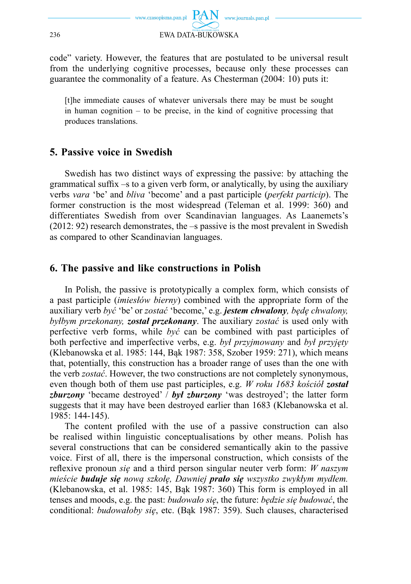

code" variety. However, the features that are postulated to be universal result from the underlying cognitive processes, because only these processes can guarantee the commonality of a feature. As Chesterman (2004: 10) puts it:

[t]he immediate causes of whatever universals there may be must be sought in human cognition – to be precise, in the kind of cognitive processing that produces translations.

# **5. Passive voice in Swedish**

Swedish has two distinct ways of expressing the passive: by attaching the grammatical suffix  $-s$  to a given verb form, or analytically, by using the auxiliary verbs *vara* 'be' and *bliva* 'become' and a past participle (*perfekt particip*). The former construction is the most widespread (Teleman et al. 1999: 360) and differentiates Swedish from over Scandinavian languages. As Laanemets's (2012: 92) research demonstrates, the –s passive is the most prevalent in Swedish as compared to other Scandinavian languages.

# **6. The passive and like constructions in Polish**

In Polish, the passive is prototypically a complex form, which consists of a past participle (*imiesłów bierny*) combined with the appropriate form of the auxiliary verb *być* 'be' or *zostać* 'become,' e.g. *jestem chwalony, będę chwalony, byłbym przekonany, został przekonany*. The auxiliary *zostać* is used only with perfective verb forms, while *być* can be combined with past participles of both perfective and imperfective verbs, e.g. *był przyjmowany* and *był przyjęty* (Klebanowska et al. 1985: 144, Bąk 1987: 358, Szober 1959: 271), which means that, potentially, this construction has a broader range of uses than the one with the verb *zostać*. However, the two constructions are not completely synonymous, even though both of them use past participles, e.g. *W roku 1683 kościół został zburzony* 'became destroyed' / *był zburzony* 'was destroyed'; the latter form suggests that it may have been destroyed earlier than 1683 (Klebanowska et al. 1985: 144-145).

The content profiled with the use of a passive construction can also be realised within linguistic conceptualisations by other means. Polish has several constructions that can be considered semantically akin to the passive voice. First of all, there is the impersonal construction, which consists of the reflexive pronoun *się* and a third person singular neuter verb form: *W naszym mieście buduje się nową szkołę, Dawniej prało się wszystko zwykłym mydłem.*  (Klebanowska, et al. 1985: 145, Bąk 1987: 360) This form is employed in all tenses and moods, e.g. the past: *budowało się*, the future: *będzie się budować*, the conditional: *budowałoby się*, etc. (Bąk 1987: 359). Such clauses, characterised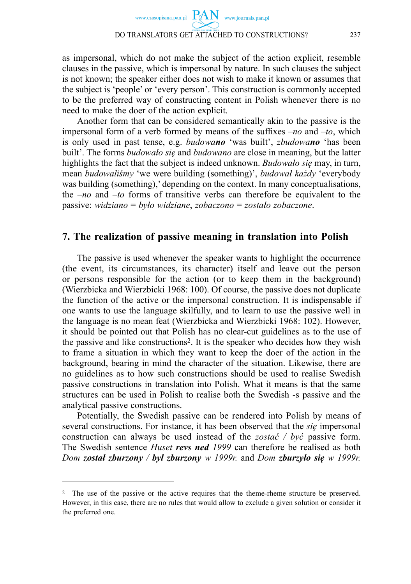as impersonal, which do not make the subject of the action explicit, resemble clauses in the passive, which is impersonal by nature. In such clauses the subject is not known; the speaker either does not wish to make it known or assumes that the subject is 'people' or 'every person'. This construction is commonly accepted to be the preferred way of constructing content in Polish whenever there is no need to make the doer of the action explicit.

Another form that can be considered semantically akin to the passive is the impersonal form of a verb formed by means of the suffixes *–no* and *–to*, which is only used in past tense, e.g. *budowano* 'was built', *zbudowano* 'has been built'. The forms *budowało się* and *budowano* are close in meaning, but the latter highlights the fact that the subject is indeed unknown. *Budowało się* may, in turn, mean *budowaliśmy* 'we were building (something)', *budował każdy* 'everybody was building (something),' depending on the context. In many conceptualisations, the *–no* and *–to* forms of transitive verbs can therefore be equivalent to the passive: *widziano* = *było widziane*, *zobaczono* = *zostało zobaczone*.

#### **7. The realization of passive meaning in translation into Polish**

The passive is used whenever the speaker wants to highlight the occurrence (the event, its circumstances, its character) itself and leave out the person or persons responsible for the action (or to keep them in the background) (Wierzbicka and Wierzbicki 1968: 100). Of course, the passive does not duplicate the function of the active or the impersonal construction. It is indispensable if one wants to use the language skilfully, and to learn to use the passive well in the language is no mean feat (Wierzbicka and Wierzbicki 1968: 102). However, it should be pointed out that Polish has no clear-cut guidelines as to the use of the passive and like constructions2. It is the speaker who decides how they wish to frame a situation in which they want to keep the doer of the action in the background, bearing in mind the character of the situation. Likewise, there are no guidelines as to how such constructions should be used to realise Swedish passive constructions in translation into Polish. What it means is that the same structures can be used in Polish to realise both the Swedish -s passive and the analytical passive constructions.

Potentially, the Swedish passive can be rendered into Polish by means of several constructions. For instance, it has been observed that the *się* impersonal construction can always be used instead of the *zostać / być* passive form. The Swedish sentence *Huset revs ned 1999* can therefore be realised as both *Dom został zburzony / był zburzony w 1999r.* and *Dom zburzyło się w 1999r.* 

<sup>2</sup> The use of the passive or the active requires that the theme-rheme structure be preserved. However, in this case, there are no rules that would allow to exclude a given solution or consider it the preferred one.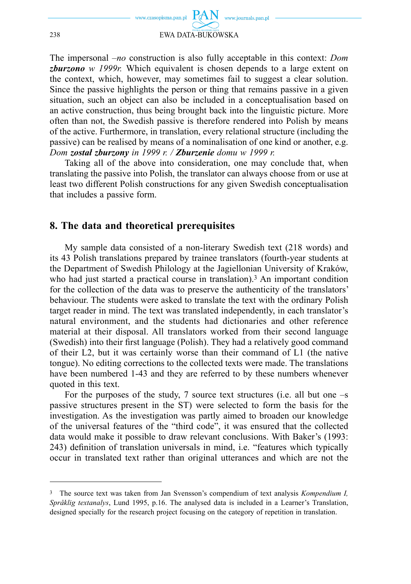

The impersonal *–no* construction is also fully acceptable in this context: *Dom zburzono w 1999r.* Which equivalent is chosen depends to a large extent on the context, which, however, may sometimes fail to suggest a clear solution. Since the passive highlights the person or thing that remains passive in a given situation, such an object can also be included in a conceptualisation based on an active construction, thus being brought back into the linguistic picture. More often than not, the Swedish passive is therefore rendered into Polish by means of the active. Furthermore, in translation, every relational structure (including the passive) can be realised by means of a nominalisation of one kind or another, e.g. *Dom został zburzony in 1999 r. / Zburzenie domu w 1999 r.* 

Taking all of the above into consideration, one may conclude that, when translating the passive into Polish, the translator can always choose from or use at least two different Polish constructions for any given Swedish conceptualisation that includes a passive form.

#### **8. The data and theoretical prerequisites**

My sample data consisted of a non-literary Swedish text (218 words) and its 43 Polish translations prepared by trainee translators (fourth-year students at the Department of Swedish Philology at the Jagiellonian University of Kraków, who had just started a practical course in translation).<sup>3</sup> An important condition for the collection of the data was to preserve the authenticity of the translators' behaviour. The students were asked to translate the text with the ordinary Polish target reader in mind. The text was translated independently, in each translator's natural environment, and the students had dictionaries and other reference material at their disposal. All translators worked from their second language (Swedish) into their first language (Polish). They had a relatively good command of their L2, but it was certainly worse than their command of L1 (the native tongue). No editing corrections to the collected texts were made. The translations have been numbered 1-43 and they are referred to by these numbers whenever quoted in this text.

For the purposes of the study, 7 source text structures (i.e. all but one  $-s$ passive structures present in the ST) were selected to form the basis for the investigation. As the investigation was partly aimed to broaden our knowledge of the universal features of the "third code", it was ensured that the collected data would make it possible to draw relevant conclusions. With Baker's (1993: 243) definition of translation universals in mind, i.e. "features which typically occur in translated text rather than original utterances and which are not the

<sup>3</sup> The source text was taken from Jan Svensson's compendium of text analysis *Kompendium I, Språklig textanalys*, Lund 1995, p.16. The analysed data is included in a Learner's Translation, designed specially for the research project focusing on the category of repetition in translation.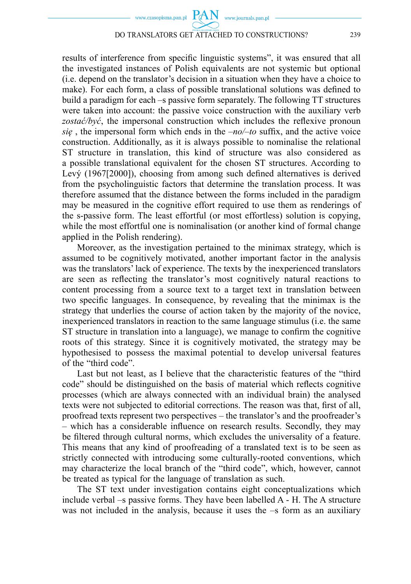results of interference from specific linguistic systems", it was ensured that all the investigated instances of Polish equivalents are not systemic but optional (i.e. depend on the translator's decision in a situation when they have a choice to make). For each form, a class of possible translational solutions was defined to build a paradigm for each –s passive form separately. The following TT structures were taken into account: the passive voice construction with the auxiliary verb *zostać/być*, the impersonal construction which includes the reflexive pronoun  $si\epsilon$ , the impersonal form which ends in the *–no/–to* suffix, and the active voice construction. Additionally, as it is always possible to nominalise the relational ST structure in translation, this kind of structure was also considered as a possible translational equivalent for the chosen ST structures. According to Levý (1967[2000]), choosing from among such defined alternatives is derived from the psycholinguistic factors that determine the translation process. It was therefore assumed that the distance between the forms included in the paradigm may be measured in the cognitive effort required to use them as renderings of the s-passive form. The least effortful (or most effortless) solution is copying, while the most effortful one is nominalisation (or another kind of formal change applied in the Polish rendering).

Moreover, as the investigation pertained to the minimax strategy, which is assumed to be cognitively motivated, another important factor in the analysis was the translators' lack of experience. The texts by the inexperienced translators are seen as reflecting the translator's most cognitively natural reactions to content processing from a source text to a target text in translation between two specific languages. In consequence, by revealing that the minimax is the strategy that underlies the course of action taken by the majority of the novice, inexperienced translators in reaction to the same language stimulus (i.e. the same ST structure in translation into a language), we manage to confirm the cognitive roots of this strategy. Since it is cognitively motivated, the strategy may be hypothesised to possess the maximal potential to develop universal features of the "third code".

Last but not least, as I believe that the characteristic features of the "third code" should be distinguished on the basis of material which reflects cognitive processes (which are always connected with an individual brain) the analysed texts were not subjected to editorial corrections. The reason was that, first of all, proofread texts represent two perspectives – the translator's and the proofreader's – which has a considerable influence on research results. Secondly, they may be filtered through cultural norms, which excludes the universality of a feature. This means that any kind of proofreading of a translated text is to be seen as strictly connected with introducing some culturally-rooted conventions, which may characterize the local branch of the "third code", which, however, cannot be treated as typical for the language of translation as such.

The ST text under investigation contains eight conceptualizations which include verbal –s passive forms. They have been labelled A - H. The A structure was not included in the analysis, because it uses the –s form as an auxiliary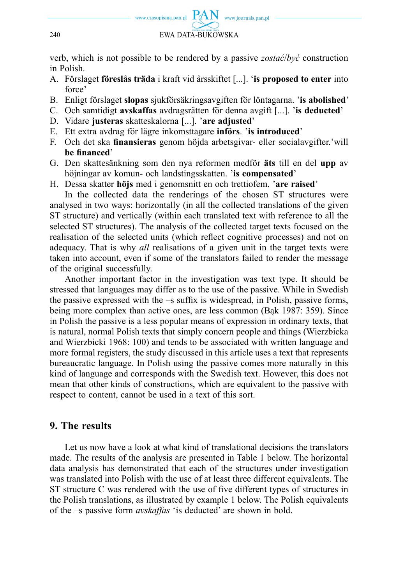

verb, which is not possible to be rendered by a passive *zostać*/*być* construction in Polish.

- A. Förslaget **föreslås träda** i kraft vid årsskiftet [...]. '**is proposed to enter** into force'
- B. Enligt förslaget **slopas** sjukförsäkringsavgiften för löntagarna. '**is abolished**'
- C. Och samtidigt **avskaffas** avdragsrätten för denna avgift [...]. '**is deducted**'
- D. Vidare **justeras** skatteskalorna [...]. '**are adjusted**'
- E. Ett extra avdrag för lägre inkomsttagare **införs**. '**is introduced**'
- F. Och det ska **fi nansieras** genom höjda arbetsgivar- eller socialavgifter.'will **be fi nanced**'
- G. Den skattesänkning som den nya reformen medför **äts** till en del **upp** av höjningar av komun- och landstingsskatten. '**is compensated**'
- H. Dessa skatter **höjs** med i genomsnitt en och trettiofem. '**are raised**'

In the collected data the renderings of the chosen ST structures were analysed in two ways: horizontally (in all the collected translations of the given ST structure) and vertically (within each translated text with reference to all the selected ST structures). The analysis of the collected target texts focused on the realisation of the selected units (which reflect cognitive processes) and not on adequacy. That is why *all* realisations of a given unit in the target texts were taken into account, even if some of the translators failed to render the message of the original successfully.

Another important factor in the investigation was text type. It should be stressed that languages may differ as to the use of the passive. While in Swedish the passive expressed with the  $-$ s suffix is widespread, in Polish, passive forms, being more complex than active ones, are less common (Bąk 1987: 359). Since in Polish the passive is a less popular means of expression in ordinary texts, that is natural, normal Polish texts that simply concern people and things (Wierzbicka and Wierzbicki 1968: 100) and tends to be associated with written language and more formal registers, the study discussed in this article uses a text that represents bureaucratic language. In Polish using the passive comes more naturally in this kind of language and corresponds with the Swedish text. However, this does not mean that other kinds of constructions, which are equivalent to the passive with respect to content, cannot be used in a text of this sort.

# **9. The results**

Let us now have a look at what kind of translational decisions the translators made. The results of the analysis are presented in Table 1 below. The horizontal data analysis has demonstrated that each of the structures under investigation was translated into Polish with the use of at least three different equivalents. The ST structure C was rendered with the use of five different types of structures in the Polish translations, as illustrated by example 1 below. The Polish equivalents of the –s passive form *avskaffas* 'is deducted' are shown in bold.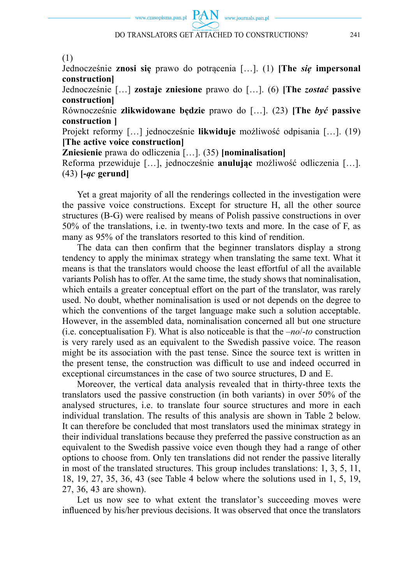www.czasopisma.pan.pl  $\text{PAN}_{\text{www.journals.pan.pl}}$ 

(1)

Jednocześnie **znosi się** prawo do potrącenia […]. (1) **[The** *się* **impersonal construction]**

Jednocześnie […] **zostaje zniesione** prawo do […]. (6) **[The** *zostać* **passive construction]**

Równocześnie **zlikwidowane będzie** prawo do […]. (23) **[The** *być* **passive construction ]**

Projekt reformy […] jednocześnie **likwiduje** możliwość odpisania […]. (19) **[The active voice construction]**

**Zniesienie** prawa do odliczenia […]. (35) **[nominalisation]**

Reforma przewiduje […], jednocześnie **anulując** możliwość odliczenia […]. (43) **[-***ąc* **gerund]**

Yet a great majority of all the renderings collected in the investigation were the passive voice constructions. Except for structure H, all the other source structures (B-G) were realised by means of Polish passive constructions in over 50% of the translations, i.e. in twenty-two texts and more. In the case of F, as many as 95% of the translators resorted to this kind of rendition.

The data can then confirm that the beginner translators display a strong tendency to apply the minimax strategy when translating the same text. What it means is that the translators would choose the least effortful of all the available variants Polish has to offer. At the same time, the study shows that nominalisation, which entails a greater conceptual effort on the part of the translator, was rarely used. No doubt, whether nominalisation is used or not depends on the degree to which the conventions of the target language make such a solution acceptable. However, in the assembled data, nominalisation concerned all but one structure (i.e. conceptualisation F). What is also noticeable is that the –*no*/-*to* construction is very rarely used as an equivalent to the Swedish passive voice. The reason might be its association with the past tense. Since the source text is written in the present tense, the construction was difficult to use and indeed occurred in exceptional circumstances in the case of two source structures, D and E.

Moreover, the vertical data analysis revealed that in thirty-three texts the translators used the passive construction (in both variants) in over 50% of the analysed structures, i.e. to translate four source structures and more in each individual translation. The results of this analysis are shown in Table 2 below. It can therefore be concluded that most translators used the minimax strategy in their individual translations because they preferred the passive construction as an equivalent to the Swedish passive voice even though they had a range of other options to choose from. Only ten translations did not render the passive literally in most of the translated structures. This group includes translations: 1, 3, 5, 11, 18, 19, 27, 35, 36, 43 (see Table 4 below where the solutions used in 1, 5, 19, 27, 36, 43 are shown).

Let us now see to what extent the translator's succeeding moves were influenced by his/her previous decisions. It was observed that once the translators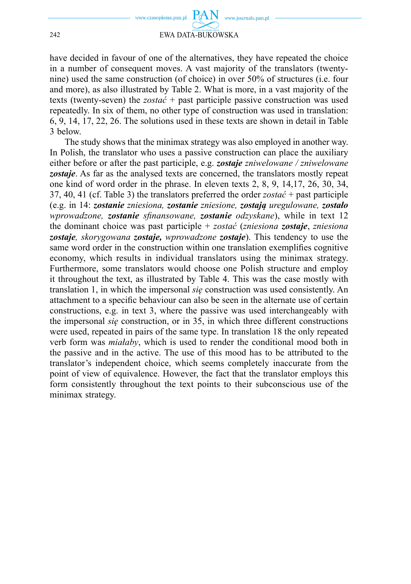

have decided in favour of one of the alternatives, they have repeated the choice in a number of consequent moves. A vast majority of the translators (twentynine) used the same construction (of choice) in over 50% of structures (i.e. four and more), as also illustrated by Table 2. What is more, in a vast majority of the texts (twenty-seven) the *zostać* + past participle passive construction was used repeatedly. In six of them, no other type of construction was used in translation: 6, 9, 14, 17, 22, 26. The solutions used in these texts are shown in detail in Table 3 below.

The study shows that the minimax strategy was also employed in another way. In Polish, the translator who uses a passive construction can place the auxiliary either before or after the past participle, e.g. *zostaje zniwelowane / zniwelowane zostaje*. As far as the analysed texts are concerned, the translators mostly repeat one kind of word order in the phrase. In eleven texts 2, 8, 9, 14,17, 26, 30, 34, 37, 40, 41 (cf. Table 3) the translators preferred the order *zostać* + past participle (e.g. in 14: *zostanie zniesiona, zostanie zniesione, zostają uregulowane, zostało wprowadzone, zostanie sfinansowane, zostanie odzyskane), while in text 12* the dominant choice was past participle + *zostać* (*zniesiona zostaje*, *zniesiona zostaje, skorygowana zostaje, wprowadzone zostaje*). This tendency to use the same word order in the construction within one translation exemplifies cognitive economy, which results in individual translators using the minimax strategy. Furthermore, some translators would choose one Polish structure and employ it throughout the text, as illustrated by Table 4. This was the case mostly with translation 1, in which the impersonal *się* construction was used consistently. An attachment to a specific behaviour can also be seen in the alternate use of certain constructions, e.g. in text 3, where the passive was used interchangeably with the impersonal *się* construction, or in 35, in which three different constructions were used, repeated in pairs of the same type. In translation 18 the only repeated verb form was *miałaby*, which is used to render the conditional mood both in the passive and in the active. The use of this mood has to be attributed to the translator's independent choice, which seems completely inaccurate from the point of view of equivalence. However, the fact that the translator employs this form consistently throughout the text points to their subconscious use of the minimax strategy.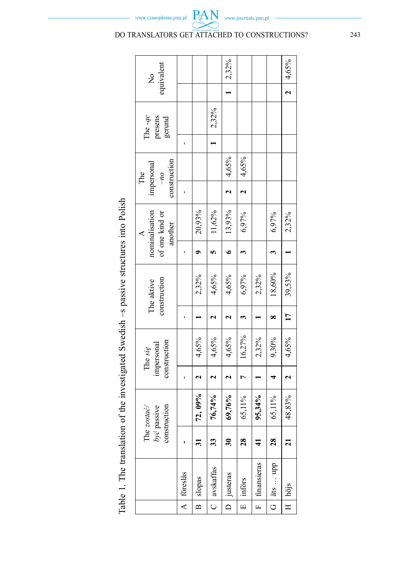|                                                                                           | equivalent<br>$\frac{1}{2}$                  |              |                |             | $ 2,32\%$                |                |                 |                        | 4,65%                 |
|-------------------------------------------------------------------------------------------|----------------------------------------------|--------------|----------------|-------------|--------------------------|----------------|-----------------|------------------------|-----------------------|
|                                                                                           |                                              |              |                |             |                          |                |                 |                        |                       |
|                                                                                           | The $-qc$<br>presens<br>gerund               |              |                | 2,32%       |                          |                |                 |                        |                       |
|                                                                                           |                                              |              |                |             |                          |                |                 |                        |                       |
|                                                                                           | construction<br>impersonal<br>The<br>$ou-$   |              |                |             | 4,65%                    | 4,65%          |                 |                        |                       |
|                                                                                           |                                              |              |                |             |                          | $\overline{c}$ |                 |                        |                       |
|                                                                                           | nominalisation<br>of one kind or<br>another  |              | 20,93%         | 11,62%      | 13,93%                   | 6,97%          |                 | 6,97%                  | 2,32%                 |
|                                                                                           |                                              |              |                |             | 。                        | E,             |                 |                        |                       |
| Table 1. The translation of the investigated Swedish $-$ s passive structures into Polish | construction<br>The aktive                   |              | 2,32%          | 4,65%       | 4,65%                    | 6,97%          | 2,32%           | 18,60%                 | 39,53%                |
|                                                                                           |                                              |              |                |             |                          | 3              |                 | œ                      | $\overline{17}$       |
|                                                                                           | construction<br>impersonal<br>The sie        |              | 4,65%          | 4,65%       | 4,65%                    | 16,27%         | $2,32\%$        | 9,30%                  | 4,65%                 |
|                                                                                           |                                              |              |                |             |                          | $\overline{7}$ |                 |                        |                       |
|                                                                                           | construction<br>The $zostac'$<br>być passive |              | 72,09%         | 76,74%      | 69,76%                   | 65,11%         | $95,34\%$       | 65,11%                 | 48,83%                |
|                                                                                           |                                              |              | ಸ              | 33          | $\overline{\mathbf{30}}$ | 28             |                 | 28                     | ត                     |
|                                                                                           |                                              | A   föreslås | slopas         | C avskaffas | D   justeras             | införs         | F   finansieras | jäts  app              | $H \mid h\ddot{o}$ js |
|                                                                                           |                                              |              | $\overline{B}$ |             |                          | $\overline{E}$ |                 | $\frac{1}{\mathbf{G}}$ |                       |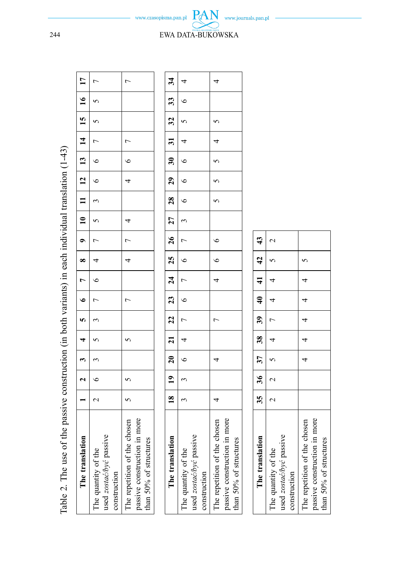| $-10$                                                                                                                                                                                                                          |
|--------------------------------------------------------------------------------------------------------------------------------------------------------------------------------------------------------------------------------|
|                                                                                                                                                                                                                                |
|                                                                                                                                                                                                                                |
| $\frac{1}{2}$                                                                                                                                                                                                                  |
|                                                                                                                                                                                                                                |
|                                                                                                                                                                                                                                |
| and the property of the company of the company of the company of the company of the company of the company of the company of the company of the company of the company of the company of the company of the company of the com |
|                                                                                                                                                                                                                                |
|                                                                                                                                                                                                                                |
|                                                                                                                                                                                                                                |
|                                                                                                                                                                                                                                |
|                                                                                                                                                                                                                                |
|                                                                                                                                                                                                                                |
| j                                                                                                                                                                                                                              |
|                                                                                                                                                                                                                                |
|                                                                                                                                                                                                                                |
|                                                                                                                                                                                                                                |
|                                                                                                                                                                                                                                |
| ֧֛֪֖֖֧֪֪֪֪֪֪֪֪֪֪֧֪֪֪֪֪֪֪֪֪֪֪֪֪֪֛֪֪֪֪֪֛֟֕֕֝֝֝֝֝                                                                                                                                                                                 |
| $\frac{1}{1}$<br>Ĭ                                                                                                                                                                                                             |
|                                                                                                                                                                                                                                |
|                                                                                                                                                                                                                                |
| į<br>Ę                                                                                                                                                                                                                         |

| Table 2. The use of the passive construction (in both variants) in each individual translation $(1-43)$ |                 |                           |                                                                     |                |                |                      |                                            |                          |                |                                                         |                          |                          |                          |                                           |                 |                |                 |  |
|---------------------------------------------------------------------------------------------------------|-----------------|---------------------------|---------------------------------------------------------------------|----------------|----------------|----------------------|--------------------------------------------|--------------------------|----------------|---------------------------------------------------------|--------------------------|--------------------------|--------------------------|-------------------------------------------|-----------------|----------------|-----------------|--|
| The translation                                                                                         |                 | $\overline{\phantom{0}2}$ | $\overline{\phantom{0}}$                                            | $\overline{1}$ | $\frac{1}{2}$  | $\overline{\bullet}$ | $\overline{7}$                             |                          |                | $\begin{array}{ c c c c }\n\hline\n0&10&1\n\end{array}$ |                          |                          |                          | $11 \mid 12 \mid 13 \mid 14 \mid 15 \mid$ |                 | $\frac{16}{1}$ | $\overline{17}$ |  |
| used zostać/być passive<br>The quantity of the<br>construction                                          |                 | $\circ$                   | $\tilde{c}$                                                         |                |                |                      | $\overline{\phantom{0}}$                   | $\overline{a}$           |                | 5                                                       | $\frac{1}{3}$            | $\overline{\phantom{0}}$ | $\overline{\phantom{0}}$ | $\overline{7}$                            |                 |                | $\overline{ }$  |  |
| passive construction in more<br>The repetition of the chosen<br>than 50% of structures                  |                 | $\mathbf{\varsigma}$      |                                                                     | 5              |                | $\overline{a}$       |                                            |                          |                | $\overline{a}$                                          |                          | $\overline{4}$           | $\circ$                  | $\overline{1}$                            |                 |                | $\overline{a}$  |  |
|                                                                                                         |                 |                           |                                                                     |                |                |                      |                                            |                          |                |                                                         |                          |                          |                          |                                           |                 |                |                 |  |
| The translation                                                                                         | $\overline{18}$ |                           | $19$   $20$   $21$   $22$   $23$   $24$   $25$   $26$   $27$   $28$ |                |                |                      |                                            |                          |                |                                                         |                          | $\frac{1}{2}$            | $\frac{1}{30}$           | $\overline{31}$                           | $\overline{32}$ | $\frac{33}{2}$ | 34              |  |
| used zostać/być passive<br>The quantity of the<br>construction                                          | $\tilde{ }$     | $\tilde{3}$               | $\overline{\phantom{0}}$                                            | $\frac{1}{4}$  | $\overline{7}$ |                      | $\begin{array}{c c} 6 & 1 & 2 \end{array}$ | $\overline{\phantom{0}}$ | $\overline{7}$ | $\frac{1}{3}$                                           | $\overline{\phantom{0}}$ | $\overline{\phantom{0}}$ | $\overline{\phantom{0}}$ | $\overline{4}$                            | $\sim$          | $\circ$        | 4               |  |
| passive construction in more<br>The repetition of the chosen<br>than $50\%$ of structures               | 4               |                           | 4                                                                   |                | $\overline{ }$ |                      | $\overline{4}$                             | $\overline{6}$           | $\circ$        |                                                         |                          |                          | $\sim$                   |                                           |                 |                | 4               |  |

| The translation                                                                        |  |  |  |  |  |  |                          |  | 18   19   20   21   22   23   25   26   27   28   29   30   31   32   33   34 |  |
|----------------------------------------------------------------------------------------|--|--|--|--|--|--|--------------------------|--|-------------------------------------------------------------------------------|--|
| used zostać/być passive<br>The quantity of the                                         |  |  |  |  |  |  | $\overline{\phantom{a}}$ |  |                                                                               |  |
| The repetition of the chosen<br>passive construction in more<br>than 50% of structures |  |  |  |  |  |  |                          |  |                                                                               |  |

| The translation                                        |  | $35 \mid 36 \mid 37 \mid 38 \mid 39 \mid 40 \mid 41 \mid 42 \mid 43$ |  |                 |  |  |
|--------------------------------------------------------|--|----------------------------------------------------------------------|--|-----------------|--|--|
| used zostać/być passive<br>The quantity of the         |  |                                                                      |  |                 |  |  |
| construction                                           |  |                                                                      |  |                 |  |  |
| The repetition of the chosen                           |  |                                                                      |  | - 4 - 4 - 4 - 4 |  |  |
| passive construction in more<br>than 50% of structures |  |                                                                      |  |                 |  |  |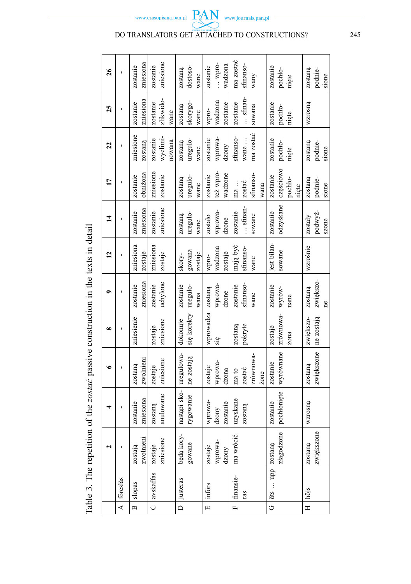Table 3. The repetition of the zostać passive construction in the texts in detail Table 3. The repetition of the *zostać* passive construction in the texts in detail

www.journals.pan.pl

**PAN** 

www.czasopisma.pan.pl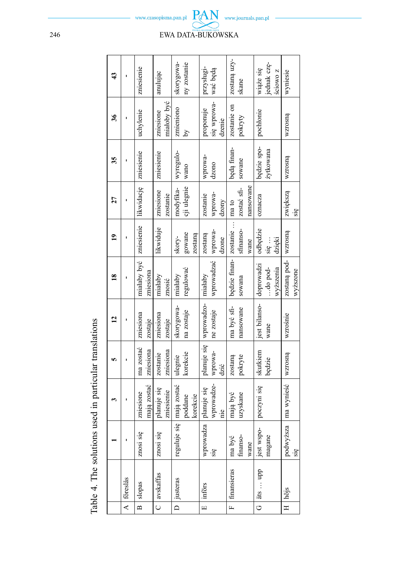|                                                        | 43             |            | zniesienie               | anulując                  | ny zostanie<br>skorygowa-          | przysługi-<br>wać będą                           | zostaną uzy-<br>skane                     | jednak czę-<br>wiąże się<br>ściowo z | wyniesie                         |
|--------------------------------------------------------|----------------|------------|--------------------------|---------------------------|------------------------------------|--------------------------------------------------|-------------------------------------------|--------------------------------------|----------------------------------|
|                                                        | $\frac{36}{5}$ | ı          | uchylenie                | miałoby być<br>zniesione  | zmieniono<br>Δy                    | się wprowa-<br>proponuje<br>dzenie               | zostanie on<br>pokryty                    | pochłonie                            | wzrosną                          |
|                                                        | 35             | ı          | zniesienie               | zniesienie                | wyregulo-<br>wano                  | wprowa-<br>dzono                                 | będą finan-<br>sowane                     | będzie spo-<br>żytkowana             | wzrosną                          |
|                                                        | 27             | ı          | likwidację               | zniesione<br>zostanie     | cji ulegnie<br>modyfika-           | wprowa-<br>zostanie<br>dzony                     | zostać sfi-<br>nansowane                  | oznacza                              | zwiększą<br>się                  |
|                                                        | $\overline{a}$ |            | zniesienie               | likwiduje                 | gowane<br>skory-                   | zostaną<br>zostaną<br>dzone                      | sfinanso-<br>wane                         | odbędzie<br>dzieki<br>się …          |                                  |
|                                                        | $\frac{8}{10}$ |            | miałaby być<br>zniesiona | miałaby<br>znosić         | regulować<br>miałaby               | wprowadzać   wprowa-                             | będzie finan- zostanie    ma to<br>sowana | doprowadzi<br>wyższenia<br>do pod-   | zostaną pod- wzrosną<br>wyższone |
|                                                        | 2              |            | zniesiona<br>zostaje     | zniesiona<br>zostaje      | skorygowa-<br>na zostaje           | planuje się   wprowadzo-   miałaby<br>ne zostaje | ma być sfi-<br>nansowane                  | jest bilanso-<br>wane                | wzrośnie                         |
|                                                        | <b>in</b>      |            | ma zostać<br>zniesiona   | zniesiona<br>zostanie     | korekcie<br>ulegnie                | wprowa-<br>dzić                                  | pokryte<br>zostaną                        | skutkiem<br>będzie                   | wzrosną                          |
| Table 4. The solutions used in particular translations |                |            | mają zostać<br>zniesione | planuje się<br>zniesienie | mają zostać<br>poddane<br>korekcie | wprowadze-<br>planuje się<br>nie                 | uzyskane<br>mają być                      | poczyni się                          | podwyższa   ma wynieść           |
|                                                        |                |            | znosi się                | znosi się                 | reguluje się                       | wprowadza<br>się                                 | finanso-<br>ma być<br>wane                | jest wspo-<br>magane                 | się                              |
|                                                        |                | A föreslås | slopas                   | C avskaffas               | D   justeras                       | införs                                           | F   finansieras                           | qdn  sig                             | $H \mid hojs$                    |
|                                                        |                |            | $\overline{B}$           |                           |                                    | $\overline{E}$                                   |                                           | $\overline{5}$                       |                                  |

www.journals.pan.pl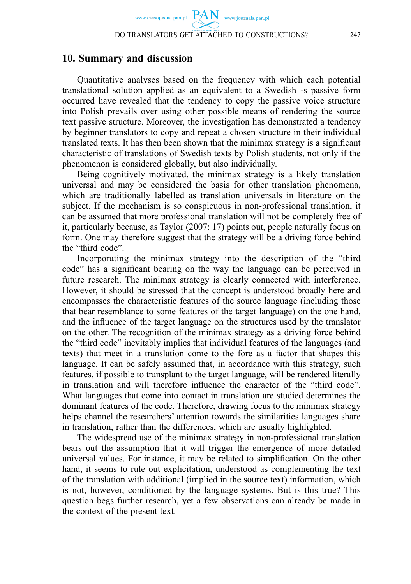#### **10. Summary and discussion**

Quantitative analyses based on the frequency with which each potential translational solution applied as an equivalent to a Swedish -s passive form occurred have revealed that the tendency to copy the passive voice structure into Polish prevails over using other possible means of rendering the source text passive structure. Moreover, the investigation has demonstrated a tendency by beginner translators to copy and repeat a chosen structure in their individual translated texts. It has then been shown that the minimax strategy is a significant characteristic of translations of Swedish texts by Polish students, not only if the phenomenon is considered globally, but also individually.

Being cognitively motivated, the minimax strategy is a likely translation universal and may be considered the basis for other translation phenomena, which are traditionally labelled as translation universals in literature on the subject. If the mechanism is so conspicuous in non-professional translation, it can be assumed that more professional translation will not be completely free of it, particularly because, as Taylor (2007: 17) points out, people naturally focus on form. One may therefore suggest that the strategy will be a driving force behind the "third code".

Incorporating the minimax strategy into the description of the "third code" has a significant bearing on the way the language can be perceived in future research. The minimax strategy is clearly connected with interference. However, it should be stressed that the concept is understood broadly here and encompasses the characteristic features of the source language (including those that bear resemblance to some features of the target language) on the one hand, and the influence of the target language on the structures used by the translator on the other. The recognition of the minimax strategy as a driving force behind the "third code" inevitably implies that individual features of the languages (and texts) that meet in a translation come to the fore as a factor that shapes this language. It can be safely assumed that, in accordance with this strategy, such features, if possible to transplant to the target language, will be rendered literally in translation and will therefore influence the character of the "third code". What languages that come into contact in translation are studied determines the dominant features of the code. Therefore, drawing focus to the minimax strategy helps channel the researchers' attention towards the similarities languages share in translation, rather than the differences, which are usually highlighted.

The widespread use of the minimax strategy in non-professional translation bears out the assumption that it will trigger the emergence of more detailed universal values. For instance, it may be related to simplification. On the other hand, it seems to rule out explicitation, understood as complementing the text of the translation with additional (implied in the source text) information, which is not, however, conditioned by the language systems. But is this true? This question begs further research, yet a few observations can already be made in the context of the present text.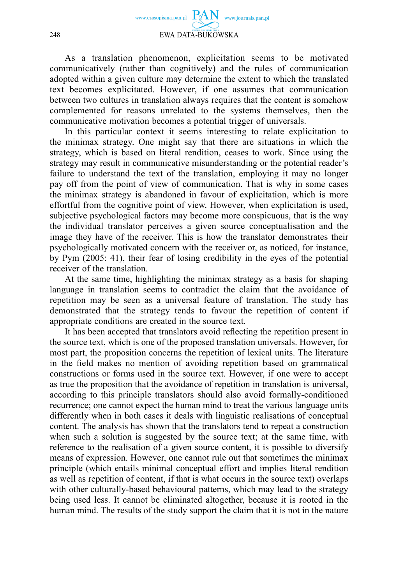

#### 248 EWA DATA-BUKOWSKA

As a translation phenomenon, explicitation seems to be motivated communicatively (rather than cognitively) and the rules of communication adopted within a given culture may determine the extent to which the translated text becomes explicitated. However, if one assumes that communication between two cultures in translation always requires that the content is somehow complemented for reasons unrelated to the systems themselves, then the communicative motivation becomes a potential trigger of universals.

In this particular context it seems interesting to relate explicitation to the minimax strategy. One might say that there are situations in which the strategy, which is based on literal rendition, ceases to work. Since using the strategy may result in communicative misunderstanding or the potential reader's failure to understand the text of the translation, employing it may no longer pay off from the point of view of communication. That is why in some cases the minimax strategy is abandoned in favour of explicitation, which is more effortful from the cognitive point of view. However, when explicitation is used, subjective psychological factors may become more conspicuous, that is the way the individual translator perceives a given source conceptualisation and the image they have of the receiver. This is how the translator demonstrates their psychologically motivated concern with the receiver or, as noticed, for instance, by Pym (2005: 41), their fear of losing credibility in the eyes of the potential receiver of the translation.

At the same time, highlighting the minimax strategy as a basis for shaping language in translation seems to contradict the claim that the avoidance of repetition may be seen as a universal feature of translation. The study has demonstrated that the strategy tends to favour the repetition of content if appropriate conditions are created in the source text.

It has been accepted that translators avoid reflecting the repetition present in the source text, which is one of the proposed translation universals. However, for most part, the proposition concerns the repetition of lexical units. The literature in the field makes no mention of avoiding repetition based on grammatical constructions or forms used in the source text. However, if one were to accept as true the proposition that the avoidance of repetition in translation is universal, according to this principle translators should also avoid formally-conditioned recurrence; one cannot expect the human mind to treat the various language units differently when in both cases it deals with linguistic realisations of conceptual content. The analysis has shown that the translators tend to repeat a construction when such a solution is suggested by the source text; at the same time, with reference to the realisation of a given source content, it is possible to diversify means of expression. However, one cannot rule out that sometimes the minimax principle (which entails minimal conceptual effort and implies literal rendition as well as repetition of content, if that is what occurs in the source text) overlaps with other culturally-based behavioural patterns, which may lead to the strategy being used less. It cannot be eliminated altogether, because it is rooted in the human mind. The results of the study support the claim that it is not in the nature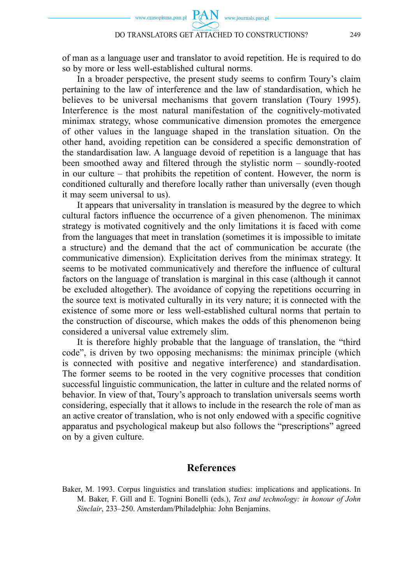of man as a language user and translator to avoid repetition. He is required to do so by more or less well-established cultural norms.

In a broader perspective, the present study seems to confirm Toury's claim pertaining to the law of interference and the law of standardisation, which he believes to be universal mechanisms that govern translation (Toury 1995). Interference is the most natural manifestation of the cognitively-motivated minimax strategy, whose communicative dimension promotes the emergence of other values in the language shaped in the translation situation. On the other hand, avoiding repetition can be considered a specific demonstration of the standardisation law. A language devoid of repetition is a language that has been smoothed away and filtered through the stylistic norm – soundly-rooted in our culture – that prohibits the repetition of content. However, the norm is conditioned culturally and therefore locally rather than universally (even though it may seem universal to us).

It appears that universality in translation is measured by the degree to which cultural factors influence the occurrence of a given phenomenon. The minimax strategy is motivated cognitively and the only limitations it is faced with come from the languages that meet in translation (sometimes it is impossible to imitate a structure) and the demand that the act of communication be accurate (the communicative dimension). Explicitation derives from the minimax strategy. It seems to be motivated communicatively and therefore the influence of cultural factors on the language of translation is marginal in this case (although it cannot be excluded altogether). The avoidance of copying the repetitions occurring in the source text is motivated culturally in its very nature; it is connected with the existence of some more or less well-established cultural norms that pertain to the construction of discourse, which makes the odds of this phenomenon being considered a universal value extremely slim.

It is therefore highly probable that the language of translation, the "third code", is driven by two opposing mechanisms: the minimax principle (which is connected with positive and negative interference) and standardisation. The former seems to be rooted in the very cognitive processes that condition successful linguistic communication, the latter in culture and the related norms of behavior. In view of that, Toury's approach to translation universals seems worth considering, especially that it allows to include in the research the role of man as an active creator of translation, who is not only endowed with a specific cognitive apparatus and psychological makeup but also follows the "prescriptions" agreed on by a given culture.

#### **References**

Baker, M. 1993. Corpus linguistics and translation studies: implications and applications. In M. Baker, F. Gill and E. Tognini Bonelli (eds.), *Text and technology: in honour of John Sinclair*, 233–250. Amsterdam/Philadelphia: John Benjamins.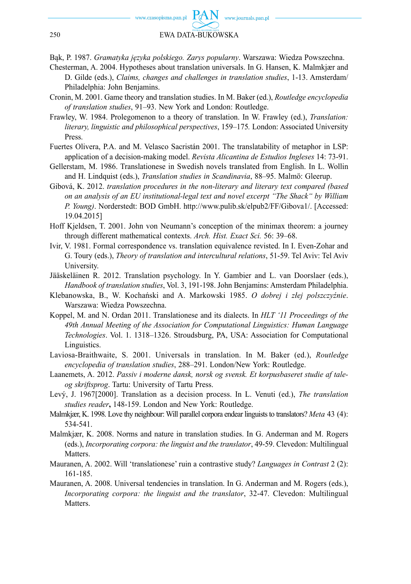

Bąk, P. 1987. *Gramatyka języka polskiego. Zarys popularny*. Warszawa: Wiedza Powszechna.

- Chesterman, A. 2004. Hypotheses about translation universals. In G. Hansen, K. Malmkjær and D. Gilde (eds.), *Claims, changes and challenges in translation studies*, 1-13. Amsterdam/ Philadelphia: John Benjamins.
- Cronin, M. 2001. Game theory and translation studies. In M. Baker (ed.), *Routledge encyclopedia of translation studies*, 91–93. New York and London: Routledge.
- Frawley, W. 1984. Prolegomenon to a theory of translation. In W. Frawley (ed.), *Translation: literary, linguistic and philosophical perspectives*, 159–175*.* London: Associated University Press.
- Fuertes Olivera, P.A. and M. Velasco Sacristán 2001. The translatability of metaphor in LSP: application of a decision-making model. *Revista Alicantina de Estudios Ingleses* 14: 73-91.
- Gellerstam, M. 1986. Translationese in Swedish novels translated from English. In L. Wollin and H. Lindquist (eds.), *Translation studies in Scandinavia*, 88–95. Malmö: Gleerup.
- Gibová, K. 2012. *translation procedures in the non-literary and literary text compared (based on an analysis of an EU institutional-legal text and novel excerpt "The Shack" by William P. Young)*. Norderstedt: BOD GmbH. http://www.pulib.sk/elpub2/FF/Gibova1/. [Accessed: 19.04.2015]
- Hoff Kjeldsen, T. 2001. John von Neumann's conception of the minimax theorem: a journey through different mathematical contexts. *Arch. Hist. Exact Sci.* 56: 39–68.
- Ivir, V. 1981. Formal correspondence vs. translation equivalence revisted. In I. Even-Zohar and G. Toury (eds.), *Theory of translation and intercultural relations*, 51-59. Tel Aviv: Tel Aviv University.
- Jääskeläinen R. 2012. Translation psychology. In Y. Gambier and L. van Doorslaer (eds.), *Handbook of translation studies*, Vol. 3, 191-198. John Benjamins: Amsterdam Philadelphia.
- Klebanowska, B., W. Kochański and A. Markowski 1985. *O dobrej i złej polszczyźnie*. Warszawa: Wiedza Powszechna.
- Koppel, M. and N. Ordan 2011. Translationese and its dialects. In *HLT '11 Proceedings of the 49th Annual Meeting of the Association for Computational Linguistics: Human Language Technologies*. Vol. 1. 1318–1326. Stroudsburg, PA, USA: Association for Computational Linguistics.
- Laviosa-Braithwaite, S. 2001. Universals in translation. In M. Baker (ed.), *Routledge encyclopedia of translation studies*, 288–291. London/New York: Routledge.
- Laanemets, A. 2012. *Passiv i moderne dansk, norsk og svensk. Et korpusbaseret studie af taleog skriftsprog*. Tartu: University of Tartu Press.
- Levý, J. 1967[2000]. Translation as a decision process. In L. Venuti (ed.), *The translation studies reader***,** 148-159. London and New York: Routledge.
- Malmkjær, K. 1998. Love thy neighbour: Will parallel corpora endear linguists to translators? *Meta* 43 (4): 534-541.
- Malmkjær, K. 2008. Norms and nature in translation studies. In G. Anderman and M. Rogers (eds.), *Incorporating corpora: the linguist and the translator*, 49-59. Clevedon: Multilingual Matters.
- Mauranen, A. 2002. Will 'translationese' ruin a contrastive study? *Languages in Contrast* 2 (2): 161-185.
- Mauranen, A. 2008. Universal tendencies in translation. In G. Anderman and M. Rogers (eds.), *Incorporating corpora: the linguist and the translator*, 32-47. Clevedon: Multilingual Matters.